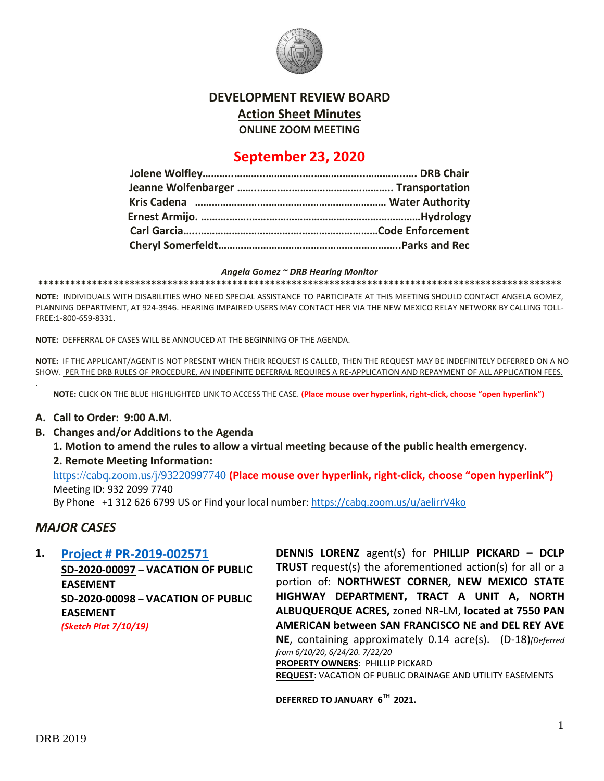

### **DEVELOPMENT REVIEW BOARD**

**Action Sheet Minutes**

**ONLINE ZOOM MEETING**

# **September 23, 2020**

#### *Angela Gomez ~ DRB Hearing Monitor*

**\*\*\*\*\*\*\*\*\*\*\*\*\*\*\*\*\*\*\*\*\*\*\*\*\*\*\*\*\*\*\*\*\*\*\*\*\*\*\*\*\*\*\*\*\*\*\*\*\*\*\*\*\*\*\*\*\*\*\*\*\*\*\*\*\*\*\*\*\*\*\*\*\*\*\*\*\*\*\*\*\*\*\*\*\*\*\*\*\*\*\*\*\*\*\*\*\***

**NOTE:** INDIVIDUALS WITH DISABILITIES WHO NEED SPECIAL ASSISTANCE TO PARTICIPATE AT THIS MEETING SHOULD CONTACT ANGELA GOMEZ, PLANNING DEPARTMENT, AT 924-3946. HEARING IMPAIRED USERS MAY CONTACT HER VIA THE NEW MEXICO RELAY NETWORK BY CALLING TOLL-FREE:1-800-659-8331.

**NOTE:** DEFFERRAL OF CASES WILL BE ANNOUCED AT THE BEGINNING OF THE AGENDA.

**NOTE:** IF THE APPLICANT/AGENT IS NOT PRESENT WHEN THEIR REQUEST IS CALLED, THEN THE REQUEST MAY BE INDEFINITELY DEFERRED ON A NO SHOW. PER THE DRB RULES OF PROCEDURE, AN INDEFINITE DEFERRAL REQUIRES A RE-APPLICATION AND REPAYMENT OF ALL APPLICATION FEES.

**NOTE:** CLICK ON THE BLUE HIGHLIGHTED LINK TO ACCESS THE CASE. **(Place mouse over hyperlink, right-click, choose "open hyperlink")**

#### **A. Call to Order: 9:00 A.M.**

**B. Changes and/or Additions to the Agenda**

**1. Motion to amend the rules to allow a virtual meeting because of the public health emergency.** 

**2. Remote Meeting Information:**

<https://cabq.zoom.us/j/93220997740> **(Place mouse over hyperlink, right-click, choose "open hyperlink")** Meeting ID: 932 2099 7740

By Phone +1 312 626 6799 US or Find your local number:<https://cabq.zoom.us/u/aelirrV4ko>

## *MAJOR CASES*

.

| 1. | <b>Project # PR-2019-002571</b>    | DENNIS LORENZ agent(s) for PHILLIP PICKARD - DCLP                                            |
|----|------------------------------------|----------------------------------------------------------------------------------------------|
|    | SD-2020-00097 - VACATION OF PUBLIC | <b>TRUST</b> request(s) the aforementioned action(s) for all or a                            |
|    | <b>EASEMENT</b>                    | portion of: NORTHWEST CORNER, NEW MEXICO STATE                                               |
|    | SD-2020-00098 - VACATION OF PUBLIC | HIGHWAY DEPARTMENT, TRACT A UNIT A, NORTH                                                    |
|    | <b>EASEMENT</b>                    | ALBUQUERQUE ACRES, zoned NR-LM, located at 7550 PAN                                          |
|    | (Sketch Plat 7/10/19)              | AMERICAN between SAN FRANCISCO NE and DEL REY AVE                                            |
|    |                                    | NE, containing approximately 0.14 acre(s). (D-18)[Deferred<br>from 6/10/20, 6/24/20. 7/22/20 |
|    |                                    | <b>PROPERTY OWNERS: PHILLIP PICKARD</b>                                                      |
|    |                                    | <b>REQUEST: VACATION OF PUBLIC DRAINAGE AND UTILITY EASEMENTS</b>                            |
|    |                                    | DEFERRED TO JANUARY 6TH 2021.                                                                |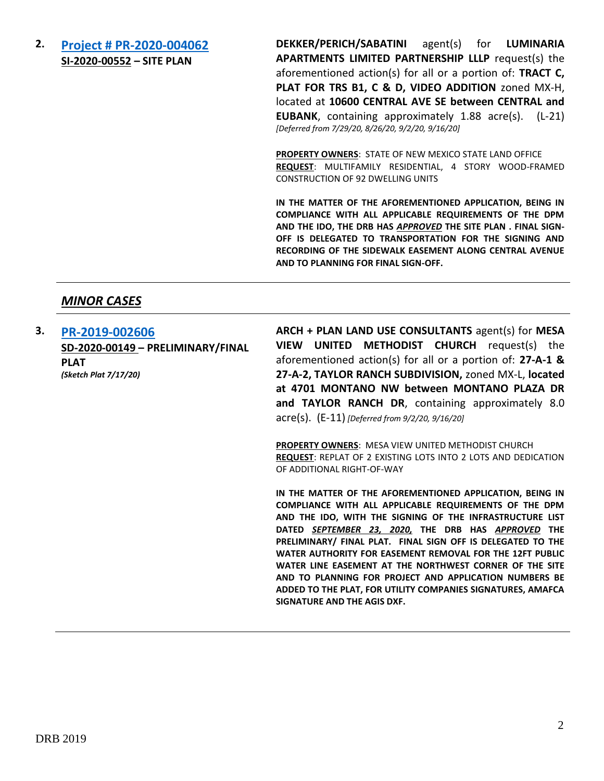**2. [Project # PR-2020-004062](http://data.cabq.gov/government/planning/DRB/PR-2020-004062/DRB%20Submittals/PR-2020-004062_Sept_16_2020_Supplemental/Application/) SI-2020-00552 – SITE PLAN**

**DEKKER/PERICH/SABATINI** agent(s) for **LUMINARIA APARTMENTS LIMITED PARTNERSHIP LLLP** request(s) the aforementioned action(s) for all or a portion of: **TRACT C, PLAT FOR TRS B1, C & D, VIDEO ADDITION** zoned MX-H, located at **10600 CENTRAL AVE SE between CENTRAL and EUBANK**, containing approximately 1.88 acre(s). (L-21) *[Deferred from 7/29/20, 8/26/20, 9/2/20, 9/16/20]*

**PROPERTY OWNERS**: STATE OF NEW MEXICO STATE LAND OFFICE **REQUEST**: MULTIFAMILY RESIDENTIAL, 4 STORY WOOD-FRAMED CONSTRUCTION OF 92 DWELLING UNITS

**IN THE MATTER OF THE AFOREMENTIONED APPLICATION, BEING IN COMPLIANCE WITH ALL APPLICABLE REQUIREMENTS OF THE DPM AND THE IDO, THE DRB HAS** *APPROVED* **THE SITE PLAN . FINAL SIGN-OFF IS DELEGATED TO TRANSPORTATION FOR THE SIGNING AND RECORDING OF THE SIDEWALK EASEMENT ALONG CENTRAL AVENUE AND TO PLANNING FOR FINAL SIGN-OFF.**

### *MINOR CASES*

**3. [PR-2019-002606](http://data.cabq.gov/government/planning/DRB/PR-2019-002606/DRB%20Submittals/PR-2019-002606_Sept_2_2020/Application/PR%202019-002606%20-%20ABCWUA%20SIGNED.pdf) SD-2020-00149 – PRELIMINARY/FINAL PLAT** *(Sketch Plat 7/17/20)* **ARCH + PLAN LAND USE CONSULTANTS** agent(s) for **MESA VIEW UNITED METHODIST CHURCH** request(s) the aforementioned action(s) for all or a portion of: **27-A-1 & 27-A-2, TAYLOR RANCH SUBDIVISION,** zoned MX-L, **located at 4701 MONTANO NW between MONTANO PLAZA DR and TAYLOR RANCH DR**, containing approximately 8.0 acre(s). (E-11) *[Deferred from 9/2/20, 9/16/20]*

> **PROPERTY OWNERS**: MESA VIEW UNITED METHODIST CHURCH **REQUEST**: REPLAT OF 2 EXISTING LOTS INTO 2 LOTS AND DEDICATION OF ADDITIONAL RIGHT-OF-WAY

> **IN THE MATTER OF THE AFOREMENTIONED APPLICATION, BEING IN COMPLIANCE WITH ALL APPLICABLE REQUIREMENTS OF THE DPM AND THE IDO, WITH THE SIGNING OF THE INFRASTRUCTURE LIST DATED** *SEPTEMBER 23, 2020,* **THE DRB HAS** *APPROVED* **THE PRELIMINARY/ FINAL PLAT. FINAL SIGN OFF IS DELEGATED TO THE WATER AUTHORITY FOR EASEMENT REMOVAL FOR THE 12FT PUBLIC WATER LINE EASEMENT AT THE NORTHWEST CORNER OF THE SITE AND TO PLANNING FOR PROJECT AND APPLICATION NUMBERS BE ADDED TO THE PLAT, FOR UTILITY COMPANIES SIGNATURES, AMAFCA SIGNATURE AND THE AGIS DXF.**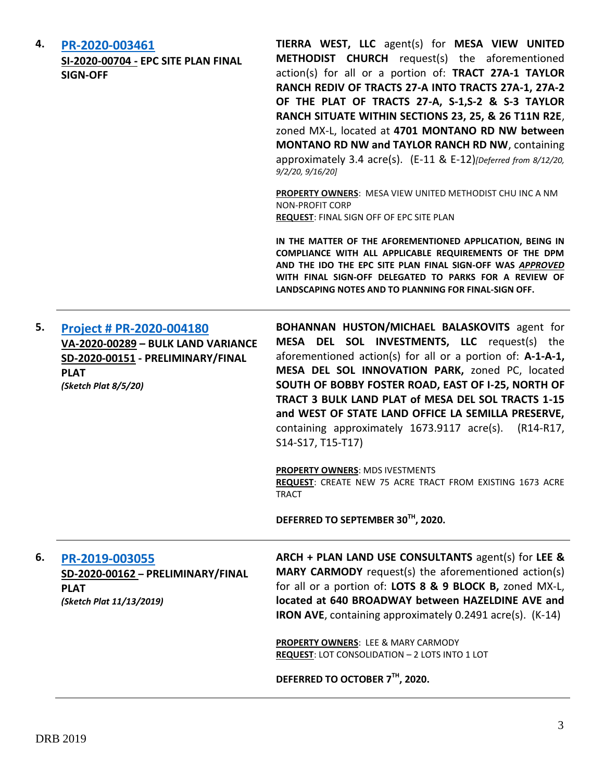| 4. | PR-2020-003461<br>SI-2020-00704 - EPC SITE PLAN FINAL<br><b>SIGN-OFF</b>                                                                   | TIERRA WEST, LLC agent(s) for MESA VIEW UNITED<br>METHODIST CHURCH request(s) the aforementioned<br>action(s) for all or a portion of: TRACT 27A-1 TAYLOR<br>RANCH REDIV OF TRACTS 27-A INTO TRACTS 27A-1, 27A-2<br>OF THE PLAT OF TRACTS 27-A, S-1,S-2 & S-3 TAYLOR<br>RANCH SITUATE WITHIN SECTIONS 23, 25, & 26 T11N R2E,<br>zoned MX-L, located at 4701 MONTANO RD NW between<br>MONTANO RD NW and TAYLOR RANCH RD NW, containing<br>approximately 3.4 acre(s). (E-11 & E-12)[Deferred from 8/12/20,<br>9/2/20, 9/16/20] |
|----|--------------------------------------------------------------------------------------------------------------------------------------------|------------------------------------------------------------------------------------------------------------------------------------------------------------------------------------------------------------------------------------------------------------------------------------------------------------------------------------------------------------------------------------------------------------------------------------------------------------------------------------------------------------------------------|
|    |                                                                                                                                            | <b>PROPERTY OWNERS: MESA VIEW UNITED METHODIST CHU INC A NM</b><br><b>NON-PROFIT CORP</b><br><b>REQUEST: FINAL SIGN OFF OF EPC SITE PLAN</b>                                                                                                                                                                                                                                                                                                                                                                                 |
|    |                                                                                                                                            | IN THE MATTER OF THE AFOREMENTIONED APPLICATION, BEING IN<br>COMPLIANCE WITH ALL APPLICABLE REQUIREMENTS OF THE DPM<br>AND THE IDO THE EPC SITE PLAN FINAL SIGN-OFF WAS APPROVED<br>WITH FINAL SIGN-OFF DELEGATED TO PARKS FOR A REVIEW OF<br>LANDSCAPING NOTES AND TO PLANNING FOR FINAL-SIGN OFF.                                                                                                                                                                                                                          |
| 5. | Project # PR-2020-004180<br>VA-2020-00289 - BULK LAND VARIANCE<br>SD-2020-00151 - PRELIMINARY/FINAL<br><b>PLAT</b><br>(Sketch Plat 8/5/20) | BOHANNAN HUSTON/MICHAEL BALASKOVITS agent for<br>MESA DEL SOL INVESTMENTS, LLC request(s) the<br>aforementioned action(s) for all or a portion of: A-1-A-1,<br>MESA DEL SOL INNOVATION PARK, zoned PC, located<br>SOUTH OF BOBBY FOSTER ROAD, EAST OF I-25, NORTH OF<br>TRACT 3 BULK LAND PLAT of MESA DEL SOL TRACTS 1-15<br>and WEST OF STATE LAND OFFICE LA SEMILLA PRESERVE,<br>containing approximately 1673.9117 acre(s). (R14-R17,<br>S14-S17, T15-T17)                                                               |
|    |                                                                                                                                            | <b>PROPERTY OWNERS: MDS IVESTMENTS</b><br>REQUEST: CREATE NEW 75 ACRE TRACT FROM EXISTING 1673 ACRE<br><b>TRACT</b>                                                                                                                                                                                                                                                                                                                                                                                                          |
|    |                                                                                                                                            | DEFERRED TO SEPTEMBER 30TH, 2020.                                                                                                                                                                                                                                                                                                                                                                                                                                                                                            |
| 6. | PR-2019-003055<br>SD-2020-00162 - PRELIMINARY/FINAL<br><b>PLAT</b><br>(Sketch Plat 11/13/2019)                                             | ARCH + PLAN LAND USE CONSULTANTS agent(s) for LEE &<br><b>MARY CARMODY</b> request(s) the aforementioned action(s)<br>for all or a portion of: LOTS 8 & 9 BLOCK B, zoned MX-L,<br>located at 640 BROADWAY between HAZELDINE AVE and<br>IRON AVE, containing approximately 0.2491 acre(s). (K-14)                                                                                                                                                                                                                             |
|    |                                                                                                                                            | PROPERTY OWNERS: LEE & MARY CARMODY<br>REQUEST: LOT CONSOLIDATION - 2 LOTS INTO 1 LOT                                                                                                                                                                                                                                                                                                                                                                                                                                        |
|    |                                                                                                                                            | DEFERRED TO OCTOBER 7TH, 2020.                                                                                                                                                                                                                                                                                                                                                                                                                                                                                               |